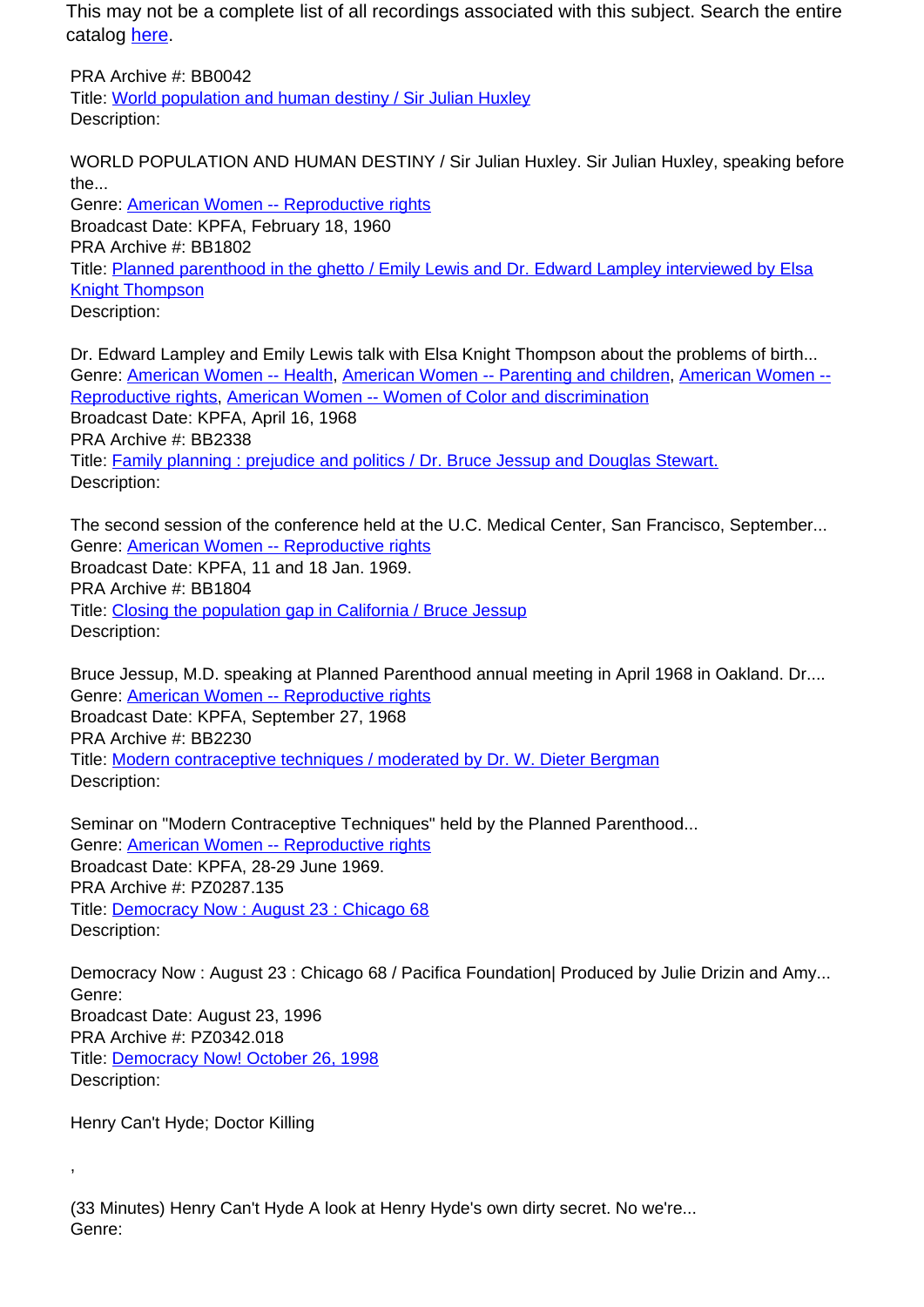This may not be a complete list of all recordings associated with this subject. Search the entire catalog [here.](http://pacificaradioarchives.org/keyword-search)

PRA Archive #: BB0042 Title: World population and human destiny / Sir Julian Huxley Description:

WORLD POPULATION AND HUMAN DESTINY / Sir Julian Huxley. Sir Julian Huxley, speaking before the...

Genre: American Women -- Reproductive rights Broadcast Date: KPFA, February 18, 1960 PRA Archive #: BB1802 Title: Planned parenthood in the ghetto / Emily Lewis and Dr. Edward Lampley interviewed by Elsa Knight Thompson Description:

Dr. Edward Lampley and Emily Lewis talk with Elsa Knight Thompson about the problems of birth... Genre: American Women -- Health, American Women -- Parenting and children, American Women -- Reproductive rights, American Women -- Women of Color and discrimination Broadcast Date: KPFA, April 16, 1968 PRA Archive #: BB2338 Title: Family planning : prejudice and politics / Dr. Bruce Jessup and Douglas Stewart. Description:

The second session of the conference held at the U.C. Medical Center, San Francisco, September... Genre: American Women -- Reproductive rights Broadcast Date: KPFA, 11 and 18 Jan. 1969. PRA Archive #: BB1804 Title: Closing the population gap in California / Bruce Jessup Description:

Bruce Jessup, M.D. speaking at Planned Parenthood annual meeting in April 1968 in Oakland. Dr.... Genre: American Women -- Reproductive rights Broadcast Date: KPFA, September 27, 1968 PRA Archive #: BB2230 Title: Modern contraceptive techniques / moderated by Dr. W. Dieter Bergman Description:

Seminar on "Modern Contraceptive Techniques" held by the Planned Parenthood... Genre: American Women -- Reproductive rights Broadcast Date: KPFA, 28-29 June 1969. PRA Archive #: PZ0287.135 Title: Democracy Now : August 23 : Chicago 68 Description:

Democracy Now: August 23: Chicago 68 / Pacifica Foundation | Produced by Julie Drizin and Amy... Genre: Broadcast Date: August 23, 1996 PRA Archive #: PZ0342.018 Title: Democracy Now! October 26, 1998 Description:

Henry Can't Hyde; Doctor Killing

,

(33 Minutes) Henry Can't Hyde A look at Henry Hyde's own dirty secret. No we're... Genre: